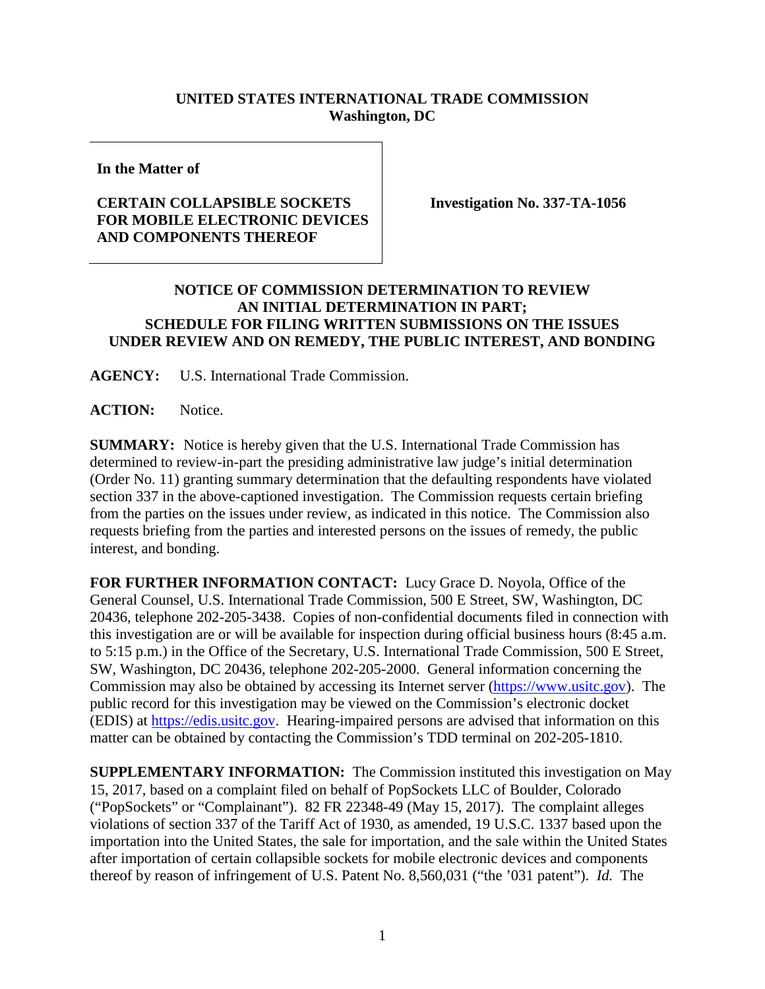## **UNITED STATES INTERNATIONAL TRADE COMMISSION Washington, DC**

**In the Matter of**

## **CERTAIN COLLAPSIBLE SOCKETS FOR MOBILE ELECTRONIC DEVICES AND COMPONENTS THEREOF**

**Investigation No. 337-TA-1056**

## **NOTICE OF COMMISSION DETERMINATION TO REVIEW AN INITIAL DETERMINATION IN PART; SCHEDULE FOR FILING WRITTEN SUBMISSIONS ON THE ISSUES UNDER REVIEW AND ON REMEDY, THE PUBLIC INTEREST, AND BONDING**

**AGENCY:** U.S. International Trade Commission.

ACTION: Notice.

**SUMMARY:** Notice is hereby given that the U.S. International Trade Commission has determined to review-in-part the presiding administrative law judge's initial determination (Order No. 11) granting summary determination that the defaulting respondents have violated section 337 in the above-captioned investigation. The Commission requests certain briefing from the parties on the issues under review, as indicated in this notice. The Commission also requests briefing from the parties and interested persons on the issues of remedy, the public interest, and bonding.

**FOR FURTHER INFORMATION CONTACT:** Lucy Grace D. Noyola, Office of the General Counsel, U.S. International Trade Commission, 500 E Street, SW, Washington, DC 20436, telephone 202-205-3438. Copies of non-confidential documents filed in connection with this investigation are or will be available for inspection during official business hours (8:45 a.m. to 5:15 p.m.) in the Office of the Secretary, U.S. International Trade Commission, 500 E Street, SW, Washington, DC 20436, telephone 202-205-2000. General information concerning the Commission may also be obtained by accessing its Internet server [\(https://www.usitc.gov\)](https://www.usitc.gov/). The public record for this investigation may be viewed on the Commission's electronic docket (EDIS) at [https://edis.usitc.gov.](http://edis.usitc.gov/) Hearing-impaired persons are advised that information on this matter can be obtained by contacting the Commission's TDD terminal on 202-205-1810.

**SUPPLEMENTARY INFORMATION:** The Commission instituted this investigation on May 15, 2017, based on a complaint filed on behalf of PopSockets LLC of Boulder, Colorado ("PopSockets" or "Complainant"). 82 FR 22348-49 (May 15, 2017). The complaint alleges violations of section 337 of the Tariff Act of 1930, as amended, 19 U.S.C. 1337 based upon the importation into the United States, the sale for importation, and the sale within the United States after importation of certain collapsible sockets for mobile electronic devices and components thereof by reason of infringement of U.S. Patent No. 8,560,031 ("the '031 patent"). *Id.* The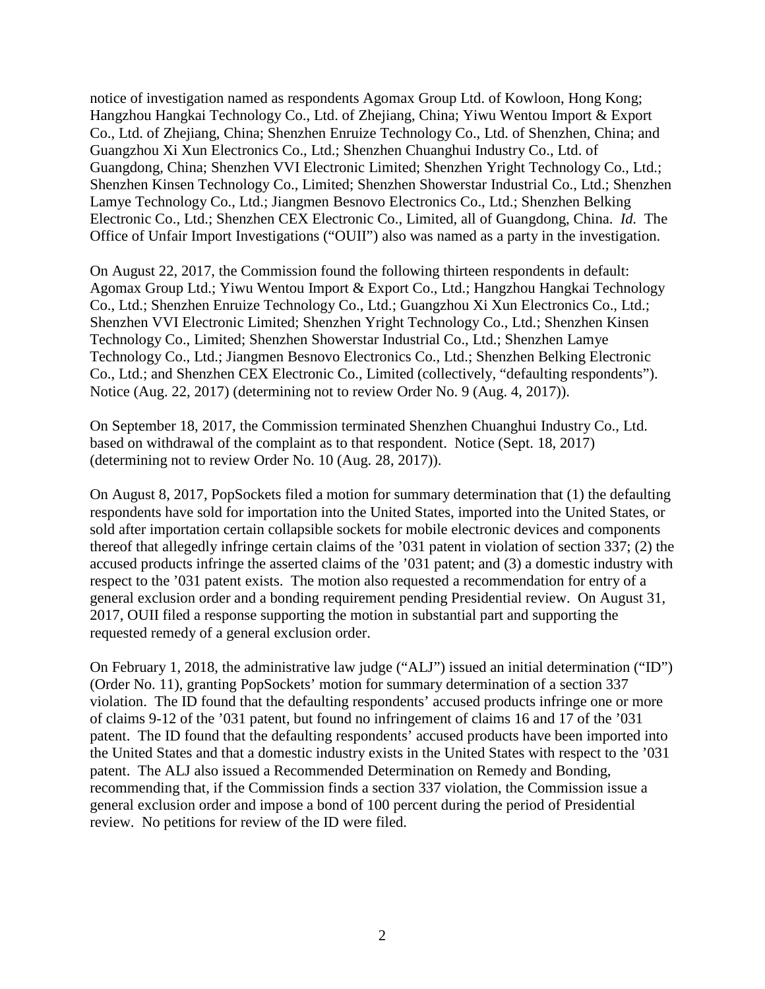notice of investigation named as respondents Agomax Group Ltd. of Kowloon, Hong Kong; Hangzhou Hangkai Technology Co., Ltd. of Zhejiang, China; Yiwu Wentou Import & Export Co., Ltd. of Zhejiang, China; Shenzhen Enruize Technology Co., Ltd. of Shenzhen, China; and Guangzhou Xi Xun Electronics Co., Ltd.; Shenzhen Chuanghui Industry Co., Ltd. of Guangdong, China; Shenzhen VVI Electronic Limited; Shenzhen Yright Technology Co., Ltd.; Shenzhen Kinsen Technology Co., Limited; Shenzhen Showerstar Industrial Co., Ltd.; Shenzhen Lamye Technology Co., Ltd.; Jiangmen Besnovo Electronics Co., Ltd.; Shenzhen Belking Electronic Co., Ltd.; Shenzhen CEX Electronic Co., Limited, all of Guangdong, China. *Id.* The Office of Unfair Import Investigations ("OUII") also was named as a party in the investigation.

On August 22, 2017, the Commission found the following thirteen respondents in default: Agomax Group Ltd.; Yiwu Wentou Import & Export Co., Ltd.; Hangzhou Hangkai Technology Co., Ltd.; Shenzhen Enruize Technology Co., Ltd.; Guangzhou Xi Xun Electronics Co., Ltd.; Shenzhen VVI Electronic Limited; Shenzhen Yright Technology Co., Ltd.; Shenzhen Kinsen Technology Co., Limited; Shenzhen Showerstar Industrial Co., Ltd.; Shenzhen Lamye Technology Co., Ltd.; Jiangmen Besnovo Electronics Co., Ltd.; Shenzhen Belking Electronic Co., Ltd.; and Shenzhen CEX Electronic Co., Limited (collectively, "defaulting respondents"). Notice (Aug. 22, 2017) (determining not to review Order No. 9 (Aug. 4, 2017)).

On September 18, 2017, the Commission terminated Shenzhen Chuanghui Industry Co., Ltd. based on withdrawal of the complaint as to that respondent. Notice (Sept. 18, 2017) (determining not to review Order No. 10 (Aug. 28, 2017)).

On August 8, 2017, PopSockets filed a motion for summary determination that (1) the defaulting respondents have sold for importation into the United States, imported into the United States, or sold after importation certain collapsible sockets for mobile electronic devices and components thereof that allegedly infringe certain claims of the '031 patent in violation of section 337; (2) the accused products infringe the asserted claims of the '031 patent; and (3) a domestic industry with respect to the '031 patent exists. The motion also requested a recommendation for entry of a general exclusion order and a bonding requirement pending Presidential review. On August 31, 2017, OUII filed a response supporting the motion in substantial part and supporting the requested remedy of a general exclusion order.

On February 1, 2018, the administrative law judge ("ALJ") issued an initial determination ("ID") (Order No. 11), granting PopSockets' motion for summary determination of a section 337 violation. The ID found that the defaulting respondents' accused products infringe one or more of claims 9-12 of the '031 patent, but found no infringement of claims 16 and 17 of the '031 patent. The ID found that the defaulting respondents' accused products have been imported into the United States and that a domestic industry exists in the United States with respect to the '031 patent. The ALJ also issued a Recommended Determination on Remedy and Bonding, recommending that, if the Commission finds a section 337 violation, the Commission issue a general exclusion order and impose a bond of 100 percent during the period of Presidential review. No petitions for review of the ID were filed.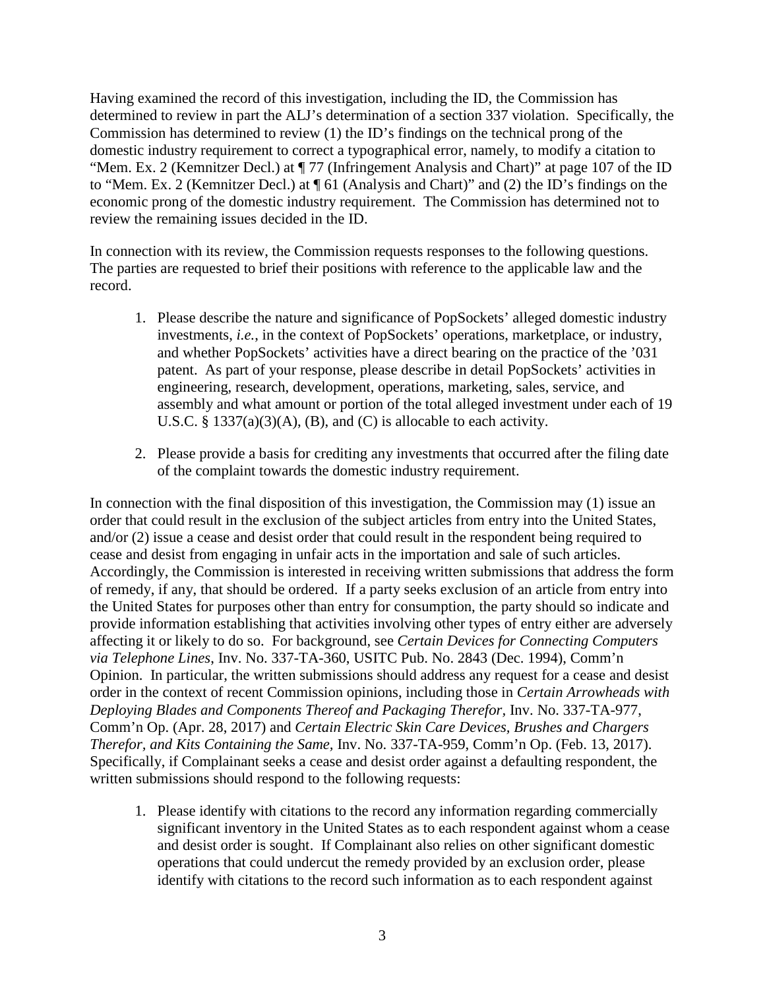Having examined the record of this investigation, including the ID, the Commission has determined to review in part the ALJ's determination of a section 337 violation. Specifically, the Commission has determined to review (1) the ID's findings on the technical prong of the domestic industry requirement to correct a typographical error, namely, to modify a citation to "Mem. Ex. 2 (Kemnitzer Decl.) at ¶ 77 (Infringement Analysis and Chart)" at page 107 of the ID to "Mem. Ex. 2 (Kemnitzer Decl.) at ¶ 61 (Analysis and Chart)" and (2) the ID's findings on the economic prong of the domestic industry requirement. The Commission has determined not to review the remaining issues decided in the ID.

In connection with its review, the Commission requests responses to the following questions. The parties are requested to brief their positions with reference to the applicable law and the record.

- 1. Please describe the nature and significance of PopSockets' alleged domestic industry investments, *i.e.*, in the context of PopSockets' operations, marketplace, or industry, and whether PopSockets' activities have a direct bearing on the practice of the '031 patent. As part of your response, please describe in detail PopSockets' activities in engineering, research, development, operations, marketing, sales, service, and assembly and what amount or portion of the total alleged investment under each of 19 U.S.C. § 1337(a)(3)(A), (B), and (C) is allocable to each activity.
- 2. Please provide a basis for crediting any investments that occurred after the filing date of the complaint towards the domestic industry requirement.

In connection with the final disposition of this investigation, the Commission may (1) issue an order that could result in the exclusion of the subject articles from entry into the United States, and/or (2) issue a cease and desist order that could result in the respondent being required to cease and desist from engaging in unfair acts in the importation and sale of such articles. Accordingly, the Commission is interested in receiving written submissions that address the form of remedy, if any, that should be ordered. If a party seeks exclusion of an article from entry into the United States for purposes other than entry for consumption, the party should so indicate and provide information establishing that activities involving other types of entry either are adversely affecting it or likely to do so. For background, see *Certain Devices for Connecting Computers via Telephone Lines*, Inv. No. 337-TA-360, USITC Pub. No. 2843 (Dec. 1994), Comm'n Opinion. In particular, the written submissions should address any request for a cease and desist order in the context of recent Commission opinions, including those in *Certain Arrowheads with Deploying Blades and Components Thereof and Packaging Therefor,* Inv. No. 337-TA-977, Comm'n Op. (Apr. 28, 2017) and *Certain Electric Skin Care Devices, Brushes and Chargers Therefor, and Kits Containing the Same,* Inv. No. 337-TA-959, Comm'n Op. (Feb. 13, 2017). Specifically, if Complainant seeks a cease and desist order against a defaulting respondent, the written submissions should respond to the following requests:

1. Please identify with citations to the record any information regarding commercially significant inventory in the United States as to each respondent against whom a cease and desist order is sought. If Complainant also relies on other significant domestic operations that could undercut the remedy provided by an exclusion order, please identify with citations to the record such information as to each respondent against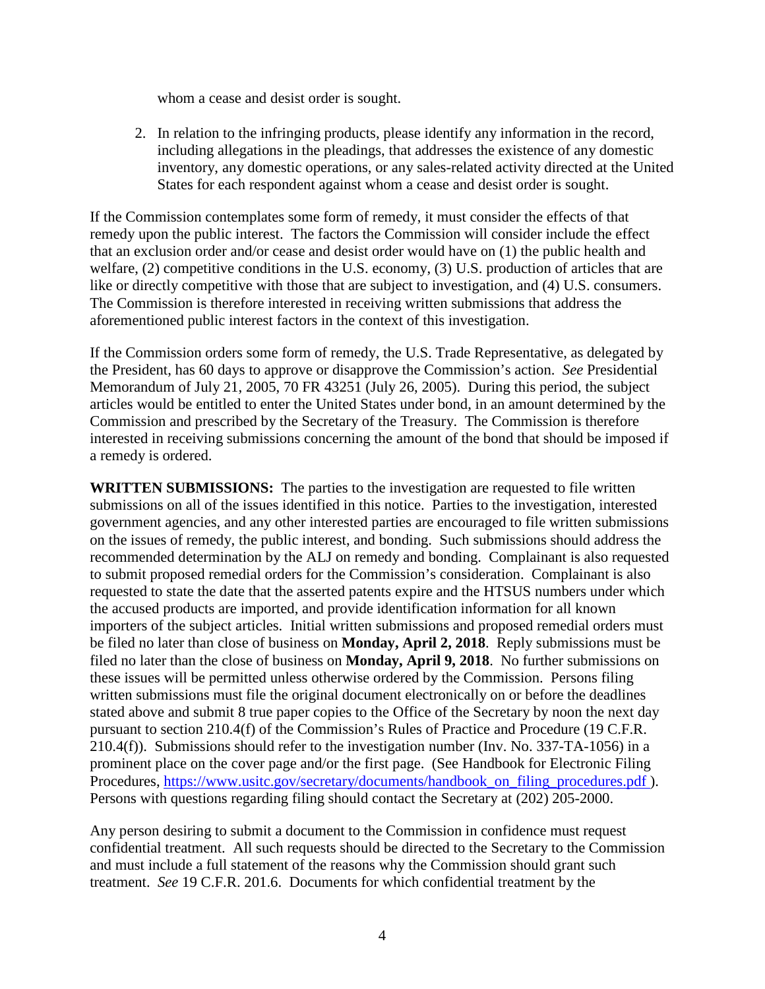whom a cease and desist order is sought.

2. In relation to the infringing products, please identify any information in the record, including allegations in the pleadings, that addresses the existence of any domestic inventory, any domestic operations, or any sales-related activity directed at the United States for each respondent against whom a cease and desist order is sought.

If the Commission contemplates some form of remedy, it must consider the effects of that remedy upon the public interest. The factors the Commission will consider include the effect that an exclusion order and/or cease and desist order would have on (1) the public health and welfare, (2) competitive conditions in the U.S. economy, (3) U.S. production of articles that are like or directly competitive with those that are subject to investigation, and (4) U.S. consumers. The Commission is therefore interested in receiving written submissions that address the aforementioned public interest factors in the context of this investigation.

If the Commission orders some form of remedy, the U.S. Trade Representative, as delegated by the President, has 60 days to approve or disapprove the Commission's action. *See* Presidential Memorandum of July 21, 2005, 70 FR 43251 (July 26, 2005). During this period, the subject articles would be entitled to enter the United States under bond, in an amount determined by the Commission and prescribed by the Secretary of the Treasury. The Commission is therefore interested in receiving submissions concerning the amount of the bond that should be imposed if a remedy is ordered.

**WRITTEN SUBMISSIONS:** The parties to the investigation are requested to file written submissions on all of the issues identified in this notice. Parties to the investigation, interested government agencies, and any other interested parties are encouraged to file written submissions on the issues of remedy, the public interest, and bonding. Such submissions should address the recommended determination by the ALJ on remedy and bonding. Complainant is also requested to submit proposed remedial orders for the Commission's consideration. Complainant is also requested to state the date that the asserted patents expire and the HTSUS numbers under which the accused products are imported, and provide identification information for all known importers of the subject articles. Initial written submissions and proposed remedial orders must be filed no later than close of business on **Monday, April 2, 2018**. Reply submissions must be filed no later than the close of business on **Monday, April 9, 2018**. No further submissions on these issues will be permitted unless otherwise ordered by the Commission. Persons filing written submissions must file the original document electronically on or before the deadlines stated above and submit 8 true paper copies to the Office of the Secretary by noon the next day pursuant to section 210.4(f) of the Commission's Rules of Practice and Procedure (19 C.F.R. 210.4(f)). Submissions should refer to the investigation number (Inv. No. 337-TA-1056) in a prominent place on the cover page and/or the first page. (See Handbook for Electronic Filing Procedures, [https://www.usitc.gov/secretary/documents/handbook\\_on\\_filing\\_procedures.pdf \)](https://www.usitc.gov/secretary/documents/handbook_on_filing_procedures.pdf). Persons with questions regarding filing should contact the Secretary at (202) 205-2000.

Any person desiring to submit a document to the Commission in confidence must request confidential treatment. All such requests should be directed to the Secretary to the Commission and must include a full statement of the reasons why the Commission should grant such treatment. *See* 19 C.F.R. 201.6. Documents for which confidential treatment by the